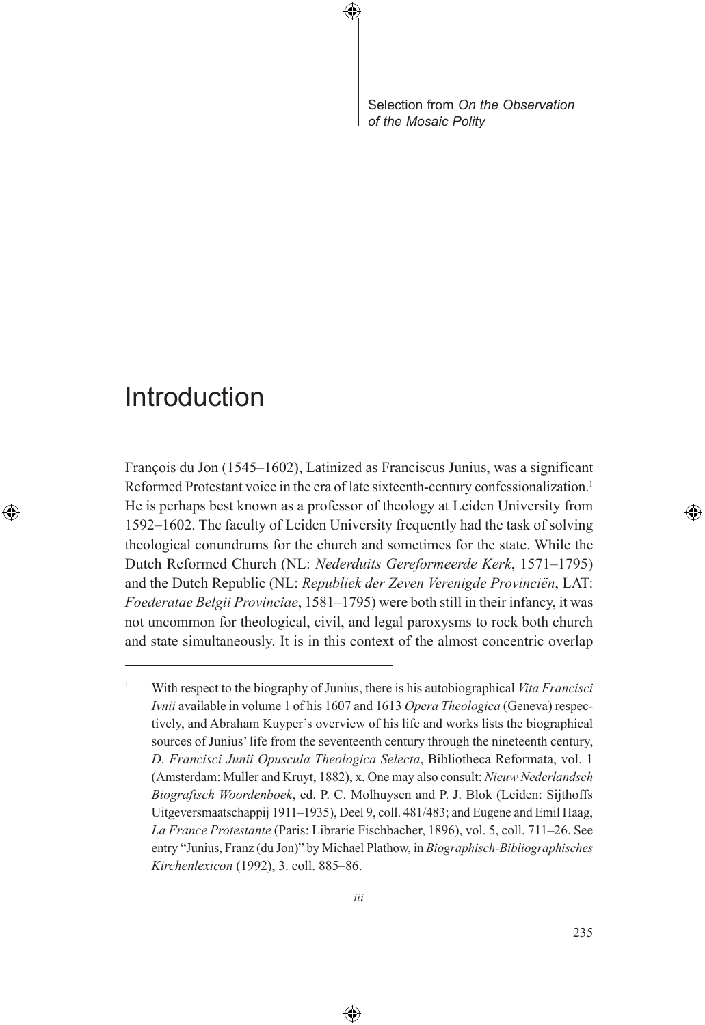Selection from *On the Observation of the Mosaic Polity*

## Introduction

⊕

François du Jon (1545–1602), Latinized as Franciscus Junius, was a significant Reformed Protestant voice in the era of late sixteenth-century confessionalization.<sup>1</sup> He is perhaps best known as a professor of theology at Leiden University from 1592–1602. The faculty of Leiden University frequently had the task of solving theological conundrums for the church and sometimes for the state. While the Dutch Reformed Church (NL: *Nederduits Gereformeerde Kerk*, 1571–1795) and the Dutch Republic (NL: *Republiek der Zeven Verenigde Provinciën*, LAT: *Foederatae Belgii Provinciae*, 1581–1795) were both still in their infancy, it was not uncommon for theological, civil, and legal paroxysms to rock both church and state simultaneously. It is in this context of the almost concentric overlap

⊕

<sup>1</sup> With respect to the biography of Junius, there is his autobiographical *Vita Francisci Ivnii* available in volume 1 of his 1607 and 1613 *Opera Theologica* (Geneva) respectively, and Abraham Kuyper's overview of his life and works lists the biographical sources of Junius' life from the seventeenth century through the nineteenth century, *D. Francisci Junii Opuscula Theologica Selecta*, Bibliotheca Reformata, vol. 1 (Amsterdam: Muller and Kruyt, 1882), x. One may also consult: *Nieuw Nederlandsch Biografisch Woordenboek*, ed. P. C. Molhuysen and P. J. Blok (Leiden: Sijthoffs Uitgeversmaatschappij 1911–1935), Deel 9, coll. 481/483; and Eugene and Emil Haag, *La France Protestante* (Paris: Librarie Fischbacher, 1896), vol. 5, coll. 711–26. See entry "Junius, Franz (du Jon)" by Michael Plathow, in *Biographisch-Bibliographisches Kirchenlexicon* (1992), 3. coll. 885–86.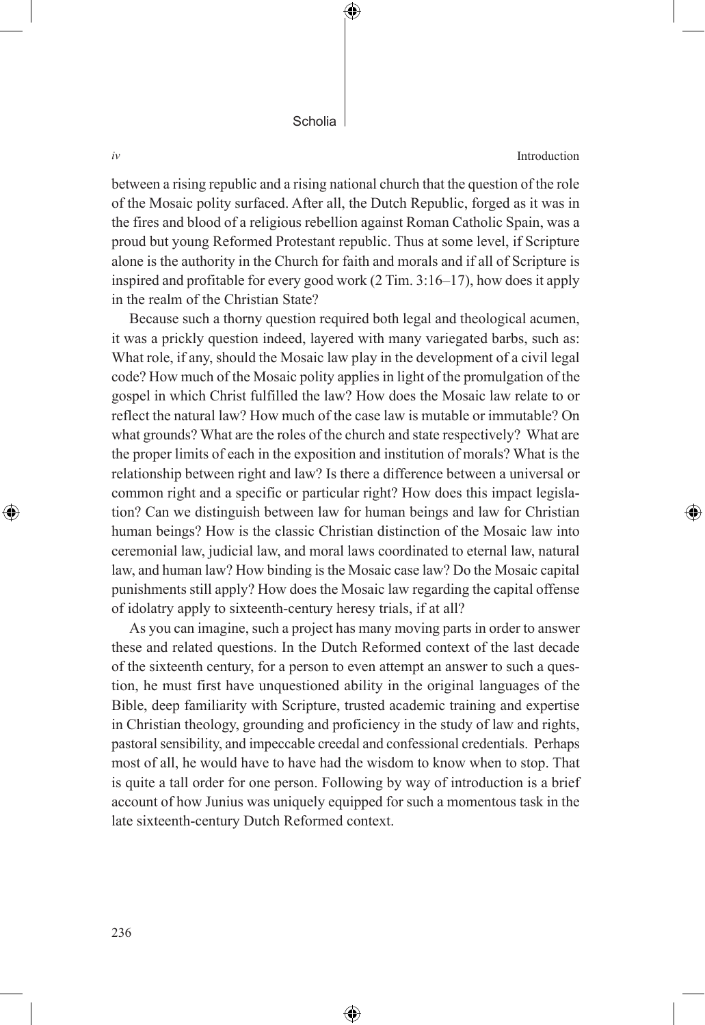*iv* Introduction

⊕

between a rising republic and a rising national church that the question of the role of the Mosaic polity surfaced. After all, the Dutch Republic, forged as it was in the fires and blood of a religious rebellion against Roman Catholic Spain, was a proud but young Reformed Protestant republic. Thus at some level, if Scripture alone is the authority in the Church for faith and morals and if all of Scripture is inspired and profitable for every good work (2 Tim. 3:16–17), how does it apply in the realm of the Christian State?

⊕

Because such a thorny question required both legal and theological acumen, it was a prickly question indeed, layered with many variegated barbs, such as: What role, if any, should the Mosaic law play in the development of a civil legal code? How much of the Mosaic polity applies in light of the promulgation of the gospel in which Christ fulfilled the law? How does the Mosaic law relate to or reflect the natural law? How much of the case law is mutable or immutable? On what grounds? What are the roles of the church and state respectively? What are the proper limits of each in the exposition and institution of morals? What is the relationship between right and law? Is there a difference between a universal or common right and a specific or particular right? How does this impact legislation? Can we distinguish between law for human beings and law for Christian human beings? How is the classic Christian distinction of the Mosaic law into ceremonial law, judicial law, and moral laws coordinated to eternal law, natural law, and human law? How binding is the Mosaic case law? Do the Mosaic capital punishments still apply? How does the Mosaic law regarding the capital offense of idolatry apply to sixteenth-century heresy trials, if at all?

As you can imagine, such a project has many moving parts in order to answer these and related questions. In the Dutch Reformed context of the last decade of the sixteenth century, for a person to even attempt an answer to such a question, he must first have unquestioned ability in the original languages of the Bible, deep familiarity with Scripture, trusted academic training and expertise in Christian theology, grounding and proficiency in the study of law and rights, pastoral sensibility, and impeccable creedal and confessional credentials. Perhaps most of all, he would have to have had the wisdom to know when to stop. That is quite a tall order for one person. Following by way of introduction is a brief account of how Junius was uniquely equipped for such a momentous task in the late sixteenth-century Dutch Reformed context.

⊕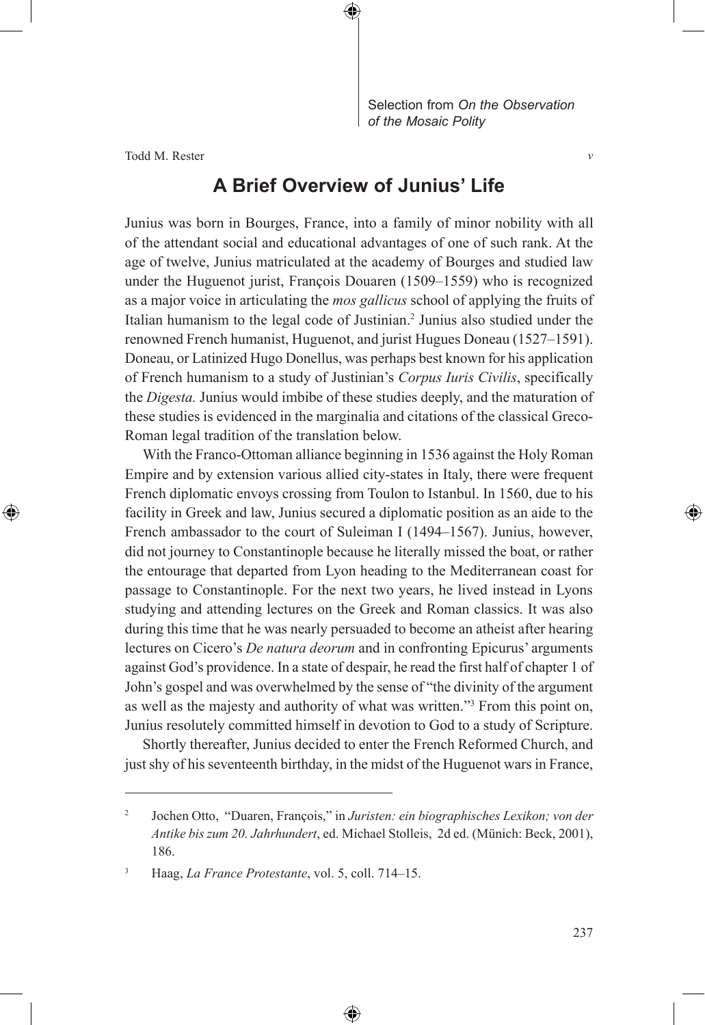Selection from *On the Observation of the Mosaic Polity*

*v*

⊕

Todd M. Rester

⊕

## **A Brief Overview of Junius' Life**

⊕

Junius was born in Bourges, France, into a family of minor nobility with all of the attendant social and educational advantages of one of such rank. At the age of twelve, Junius matriculated at the academy of Bourges and studied law under the Huguenot jurist, François Douaren (1509–1559) who is recognized as a major voice in articulating the *mos gallicus* school of applying the fruits of Italian humanism to the legal code of Justinian.<sup>2</sup> Junius also studied under the renowned French humanist, Huguenot, and jurist Hugues Doneau (1527–1591). Doneau, or Latinized Hugo Donellus, was perhaps best known for his application of French humanism to a study of Justinian's *Corpus Iuris Civilis*, specifically the *Digesta.* Junius would imbibe of these studies deeply, and the maturation of these studies is evidenced in the marginalia and citations of the classical Greco-Roman legal tradition of the translation below.

With the Franco-Ottoman alliance beginning in 1536 against the Holy Roman Empire and by extension various allied city-states in Italy, there were frequent French diplomatic envoys crossing from Toulon to Istanbul. In 1560, due to his facility in Greek and law, Junius secured a diplomatic position as an aide to the French ambassador to the court of Suleiman I (1494–1567). Junius, however, did not journey to Constantinople because he literally missed the boat, or rather the entourage that departed from Lyon heading to the Mediterranean coast for passage to Constantinople. For the next two years, he lived instead in Lyons studying and attending lectures on the Greek and Roman classics. It was also during this time that he was nearly persuaded to become an atheist after hearing lectures on Cicero's *De natura deorum* and in confronting Epicurus' arguments against God's providence. In a state of despair, he read the first half of chapter 1 of John's gospel and was overwhelmed by the sense of "the divinity of the argument as well as the majesty and authority of what was written."3 From this point on, Junius resolutely committed himself in devotion to God to a study of Scripture.

Shortly thereafter, Junius decided to enter the French Reformed Church, and just shy of his seventeenth birthday, in the midst of the Huguenot wars in France,

<sup>2</sup> Jochen Otto, "Duaren, François," in *Juristen: ein biographisches Lexikon; von der Antike bis zum 20. Jahrhundert*, ed. Michael Stolleis, 2d ed. (Münich: Beck, 2001), 186.

<sup>3</sup> Haag, *La France Protestante*, vol. 5, coll. 714–15.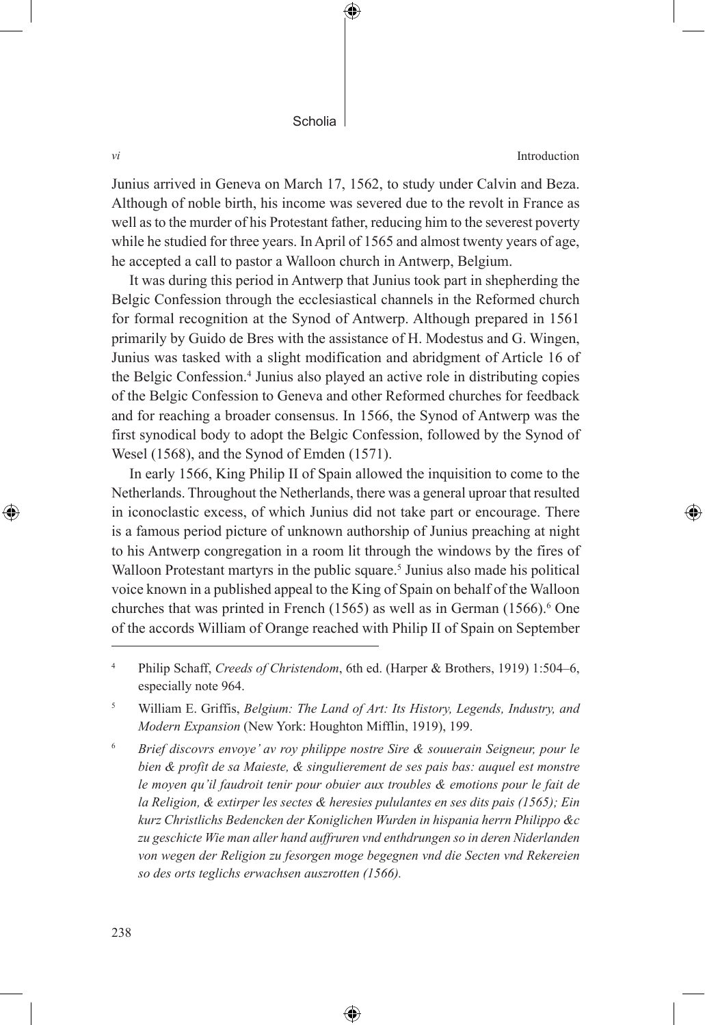*vi* Introduction

⊕

Junius arrived in Geneva on March 17, 1562, to study under Calvin and Beza. Although of noble birth, his income was severed due to the revolt in France as well as to the murder of his Protestant father, reducing him to the severest poverty while he studied for three years. In April of 1565 and almost twenty years of age, he accepted a call to pastor a Walloon church in Antwerp, Belgium.

⊕

It was during this period in Antwerp that Junius took part in shepherding the Belgic Confession through the ecclesiastical channels in the Reformed church for formal recognition at the Synod of Antwerp. Although prepared in 1561 primarily by Guido de Bres with the assistance of H. Modestus and G. Wingen, Junius was tasked with a slight modification and abridgment of Article 16 of the Belgic Confession.<sup>4</sup> Junius also played an active role in distributing copies of the Belgic Confession to Geneva and other Reformed churches for feedback and for reaching a broader consensus. In 1566, the Synod of Antwerp was the first synodical body to adopt the Belgic Confession, followed by the Synod of Wesel (1568), and the Synod of Emden (1571).

In early 1566, King Philip II of Spain allowed the inquisition to come to the Netherlands. Throughout the Netherlands, there was a general uproar that resulted in iconoclastic excess, of which Junius did not take part or encourage. There is a famous period picture of unknown authorship of Junius preaching at night to his Antwerp congregation in a room lit through the windows by the fires of Walloon Protestant martyrs in the public square.<sup>5</sup> Junius also made his political voice known in a published appeal to the King of Spain on behalf of the Walloon churches that was printed in French (1565) as well as in German (1566).<sup>6</sup> One of the accords William of Orange reached with Philip II of Spain on September

<sup>4</sup> Philip Schaff, *Creeds of Christendom*, 6th ed. (Harper & Brothers, 1919) 1:504–6, especially note 964.

<sup>5</sup> William E. Griffis, *Belgium: The Land of Art: Its History, Legends, Industry, and Modern Expansion* (New York: Houghton Mifflin, 1919), 199.

<sup>6</sup> *Brief discovrs envoye' av roy philippe nostre Sire & souuerain Seigneur, pour le bien & profit de sa Maieste, & singulierement de ses pais bas: auquel est monstre le moyen qu'il faudroit tenir pour obuier aux troubles & emotions pour le fait de la Religion, & extirper les sectes & heresies pululantes en ses dits pais (1565); Ein kurz Christlichs Bedencken der Koniglichen Wurden in hispania herrn Philippo &c zu geschicte Wie man aller hand auffruren vnd enthdrungen so in deren Niderlanden*  von wegen der Religion zu fesorgen moge begegnen vnd die Secten vnd Rekereien *so des orts teglichs erwachsen auszrotten (1566).*

⊕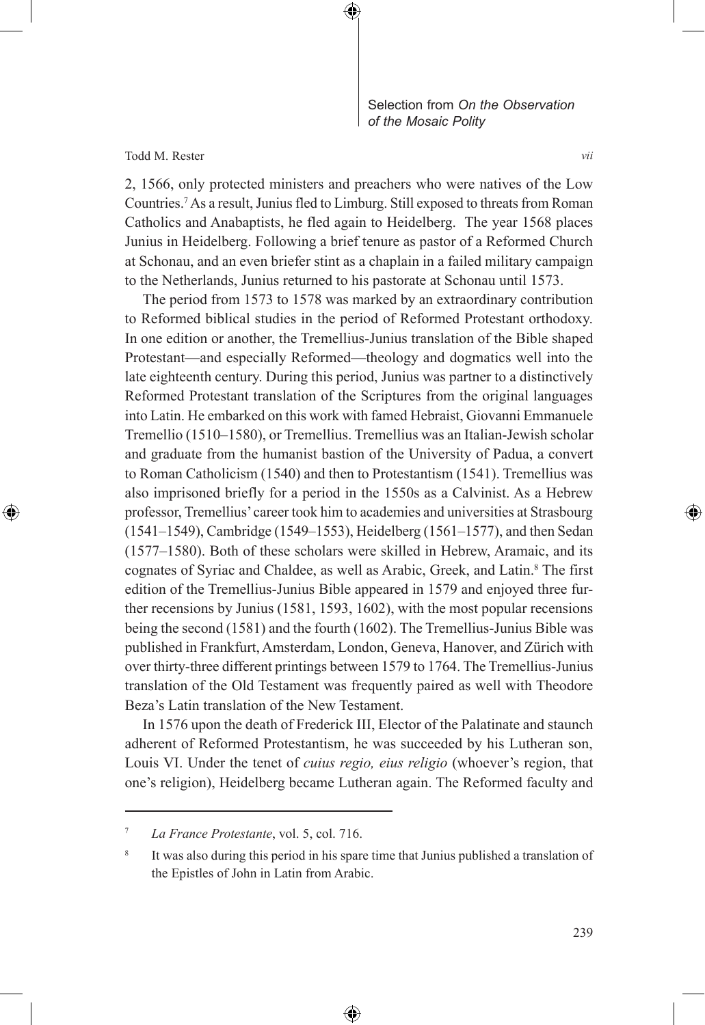

Todd M. Rester

⊕

2, 1566, only protected ministers and preachers who were natives of the Low Countries.7 As a result, Junius fled to Limburg. Still exposed to threats from Roman Catholics and Anabaptists, he fled again to Heidelberg. The year 1568 places Junius in Heidelberg. Following a brief tenure as pastor of a Reformed Church at Schonau, and an even briefer stint as a chaplain in a failed military campaign to the Netherlands, Junius returned to his pastorate at Schonau until 1573.

The period from 1573 to 1578 was marked by an extraordinary contribution to Reformed biblical studies in the period of Reformed Protestant orthodoxy. In one edition or another, the Tremellius-Junius translation of the Bible shaped Protestant—and especially Reformed—theology and dogmatics well into the late eighteenth century. During this period, Junius was partner to a distinctively Reformed Protestant translation of the Scriptures from the original languages into Latin. He embarked on this work with famed Hebraist, Giovanni Emmanuele Tremellio (1510–1580), or Tremellius. Tremellius was an Italian-Jewish scholar and graduate from the humanist bastion of the University of Padua, a convert to Roman Catholicism (1540) and then to Protestantism (1541). Tremellius was also imprisoned briefly for a period in the 1550s as a Calvinist. As a Hebrew professor, Tremellius' career took him to academies and universities at Strasbourg (1541–1549), Cambridge (1549–1553), Heidelberg (1561–1577), and then Sedan (1577–1580). Both of these scholars were skilled in Hebrew, Aramaic, and its cognates of Syriac and Chaldee, as well as Arabic, Greek, and Latin.<sup>8</sup> The first edition of the Tremellius-Junius Bible appeared in 1579 and enjoyed three further recensions by Junius (1581, 1593, 1602), with the most popular recensions being the second (1581) and the fourth (1602). The Tremellius-Junius Bible was published in Frankfurt, Amsterdam, London, Geneva, Hanover, and Zürich with over thirty-three different printings between 1579 to 1764. The Tremellius-Junius translation of the Old Testament was frequently paired as well with Theodore Beza's Latin translation of the New Testament.

In 1576 upon the death of Frederick III, Elector of the Palatinate and staunch adherent of Reformed Protestantism, he was succeeded by his Lutheran son, Louis VI. Under the tenet of *cuius regio, eius religio* (whoever's region, that one's religion), Heidelberg became Lutheran again. The Reformed faculty and

⊕

*vii*

<sup>7</sup> *La France Protestante*, vol. 5, col. 716.

<sup>&</sup>lt;sup>8</sup> It was also during this period in his spare time that Junius published a translation of the Epistles of John in Latin from Arabic.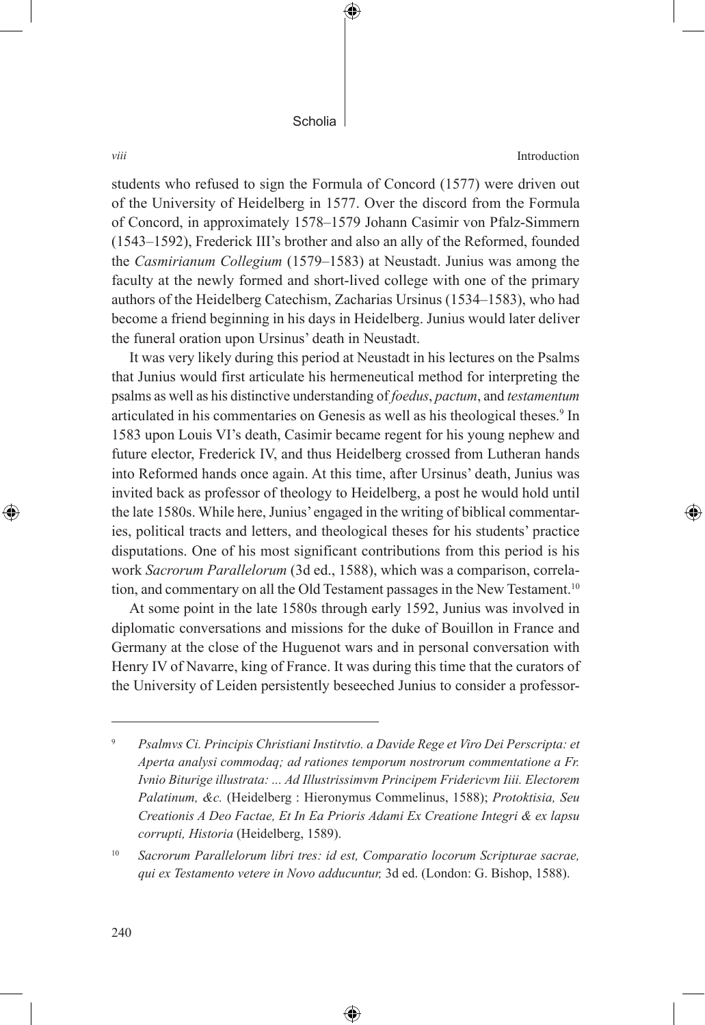€

*viii* Introduction

students who refused to sign the Formula of Concord (1577) were driven out of the University of Heidelberg in 1577. Over the discord from the Formula of Concord, in approximately 1578–1579 Johann Casimir von Pfalz-Simmern (1543–1592), Frederick III's brother and also an ally of the Reformed, founded the *Casmirianum Collegium* (1579–1583) at Neustadt. Junius was among the faculty at the newly formed and short-lived college with one of the primary authors of the Heidelberg Catechism, Zacharias Ursinus (1534–1583), who had become a friend beginning in his days in Heidelberg. Junius would later deliver the funeral oration upon Ursinus' death in Neustadt.

It was very likely during this period at Neustadt in his lectures on the Psalms that Junius would first articulate his hermeneutical method for interpreting the psalms as well as his distinctive understanding of *foedus*, *pactum*, and *testamentum* articulated in his commentaries on Genesis as well as his theological theses.<sup>9</sup> In 1583 upon Louis VI's death, Casimir became regent for his young nephew and future elector, Frederick IV, and thus Heidelberg crossed from Lutheran hands into Reformed hands once again. At this time, after Ursinus' death, Junius was invited back as professor of theology to Heidelberg, a post he would hold until the late 1580s. While here, Junius' engaged in the writing of biblical commentaries, political tracts and letters, and theological theses for his students' practice disputations. One of his most significant contributions from this period is his work *Sacrorum Parallelorum* (3d ed., 1588), which was a comparison, correlation, and commentary on all the Old Testament passages in the New Testament.<sup>10</sup>

At some point in the late 1580s through early 1592, Junius was involved in diplomatic conversations and missions for the duke of Bouillon in France and Germany at the close of the Huguenot wars and in personal conversation with Henry IV of Navarre, king of France. It was during this time that the curators of the University of Leiden persistently beseeched Junius to consider a professor-

<sup>10</sup> *Sacrorum Parallelorum libri tres: id est, Comparatio locorum Scripturae sacrae, qui ex Testamento vetere in Novo adducuntur,* 3d ed. (London: G. Bishop, 1588).

⊕

<sup>9</sup> *Psalmvs Ci. Principis Christiani Institvtio. a Davide Rege et Viro Dei Perscripta: et Aperta analysi commodaq; ad rationes temporum nostrorum commentatione a Fr. Ivnio Biturige illustrata: ... Ad Illustrissimvm Principem Fridericvm Iiii. Electorem Palatinum, &c.* (Heidelberg : Hieronymus Commelinus, 1588); *Protoktisia, Seu Creationis A Deo Factae, Et In Ea Prioris Adami Ex Creatione Integri & ex lapsu corrupti, Historia* (Heidelberg, 1589).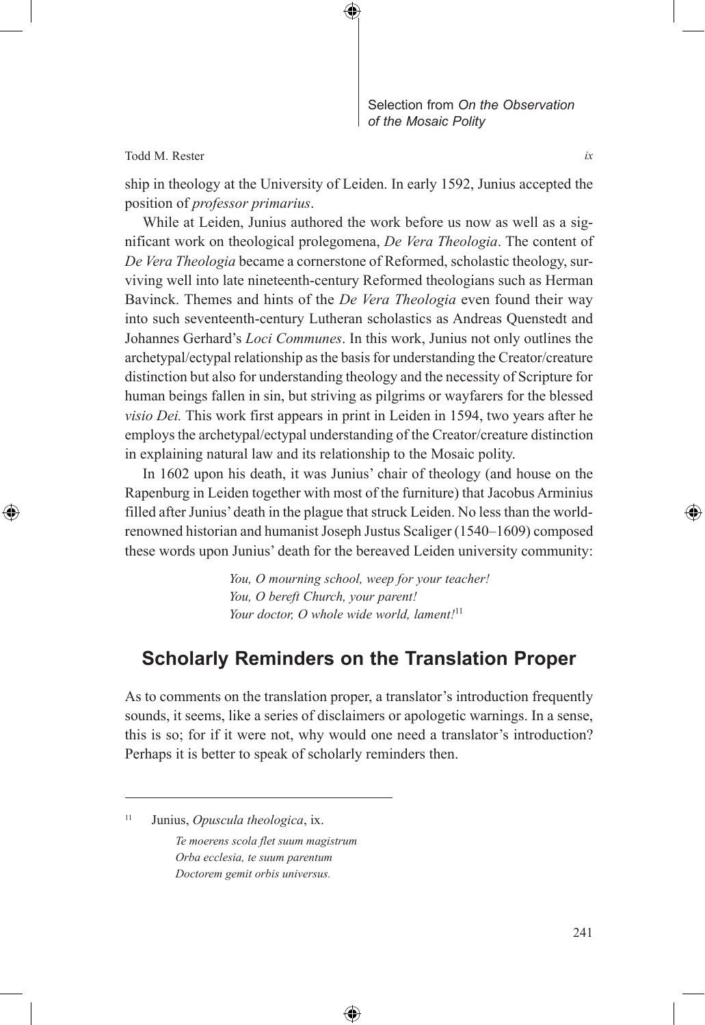

Todd M. Rester

⊕

ship in theology at the University of Leiden. In early 1592, Junius accepted the position of *professor primarius*.

⊕

While at Leiden, Junius authored the work before us now as well as a significant work on theological prolegomena, *De Vera Theologia*. The content of *De Vera Theologia* became a cornerstone of Reformed, scholastic theology, surviving well into late nineteenth-century Reformed theologians such as Herman Bavinck. Themes and hints of the *De Vera Theologia* even found their way into such seventeenth-century Lutheran scholastics as Andreas Quenstedt and Johannes Gerhard's *Loci Communes*. In this work, Junius not only outlines the archetypal/ectypal relationship as the basis for understanding the Creator/creature distinction but also for understanding theology and the necessity of Scripture for human beings fallen in sin, but striving as pilgrims or wayfarers for the blessed *visio Dei.* This work first appears in print in Leiden in 1594, two years after he employs the archetypal/ectypal understanding of the Creator/creature distinction in explaining natural law and its relationship to the Mosaic polity.

In 1602 upon his death, it was Junius' chair of theology (and house on the Rapenburg in Leiden together with most of the furniture) that Jacobus Arminius filled after Junius' death in the plague that struck Leiden. No less than the worldrenowned historian and humanist Joseph Justus Scaliger (1540–1609) composed these words upon Junius' death for the bereaved Leiden university community:

> *You, O mourning school, weep for your teacher! You, O bereft Church, your parent! Your doctor, O whole wide world, lament!*<sup>11</sup>

## **Scholarly Reminders on the Translation Proper**

As to comments on the translation proper, a translator's introduction frequently sounds, it seems, like a series of disclaimers or apologetic warnings. In a sense, this is so; for if it were not, why would one need a translator's introduction? Perhaps it is better to speak of scholarly reminders then.

⊕

*Te moerens scola flet suum magistrum Orba ecclesia, te suum parentum Doctorem gemit orbis universus.*

*ix*

<sup>11</sup> Junius, *Opuscula theologica*, ix.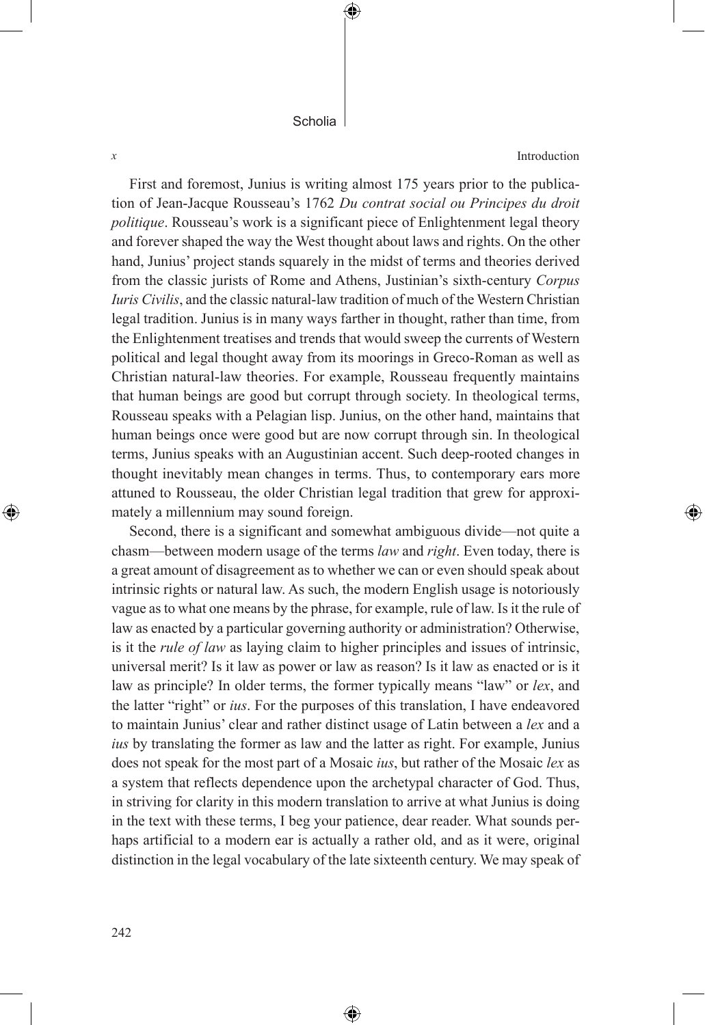⊕

*x* Introduction

⊕

First and foremost, Junius is writing almost 175 years prior to the publication of Jean-Jacque Rousseau's 1762 *Du contrat social ou Principes du droit politique*. Rousseau's work is a significant piece of Enlightenment legal theory and forever shaped the way the West thought about laws and rights. On the other hand, Junius' project stands squarely in the midst of terms and theories derived from the classic jurists of Rome and Athens, Justinian's sixth-century *Corpus Iuris Civilis*, and the classic natural-law tradition of much of the Western Christian legal tradition. Junius is in many ways farther in thought, rather than time, from the Enlightenment treatises and trends that would sweep the currents of Western political and legal thought away from its moorings in Greco-Roman as well as Christian natural-law theories. For example, Rousseau frequently maintains that human beings are good but corrupt through society. In theological terms, Rousseau speaks with a Pelagian lisp. Junius, on the other hand, maintains that human beings once were good but are now corrupt through sin. In theological terms, Junius speaks with an Augustinian accent. Such deep-rooted changes in thought inevitably mean changes in terms. Thus, to contemporary ears more attuned to Rousseau, the older Christian legal tradition that grew for approximately a millennium may sound foreign.

Second, there is a significant and somewhat ambiguous divide—not quite a chasm—between modern usage of the terms *law* and *right*. Even today, there is a great amount of disagreement as to whether we can or even should speak about intrinsic rights or natural law. As such, the modern English usage is notoriously vague as to what one means by the phrase, for example, rule of law. Is it the rule of law as enacted by a particular governing authority or administration? Otherwise, is it the *rule of law* as laying claim to higher principles and issues of intrinsic, universal merit? Is it law as power or law as reason? Is it law as enacted or is it law as principle? In older terms, the former typically means "law" or *lex*, and the latter "right" or *ius*. For the purposes of this translation, I have endeavored to maintain Junius' clear and rather distinct usage of Latin between a *lex* and a *ius* by translating the former as law and the latter as right. For example, Junius does not speak for the most part of a Mosaic *ius*, but rather of the Mosaic *lex* as a system that reflects dependence upon the archetypal character of God. Thus, in striving for clarity in this modern translation to arrive at what Junius is doing in the text with these terms, I beg your patience, dear reader. What sounds perhaps artificial to a modern ear is actually a rather old, and as it were, original distinction in the legal vocabulary of the late sixteenth century. We may speak of

⊕

⊕

242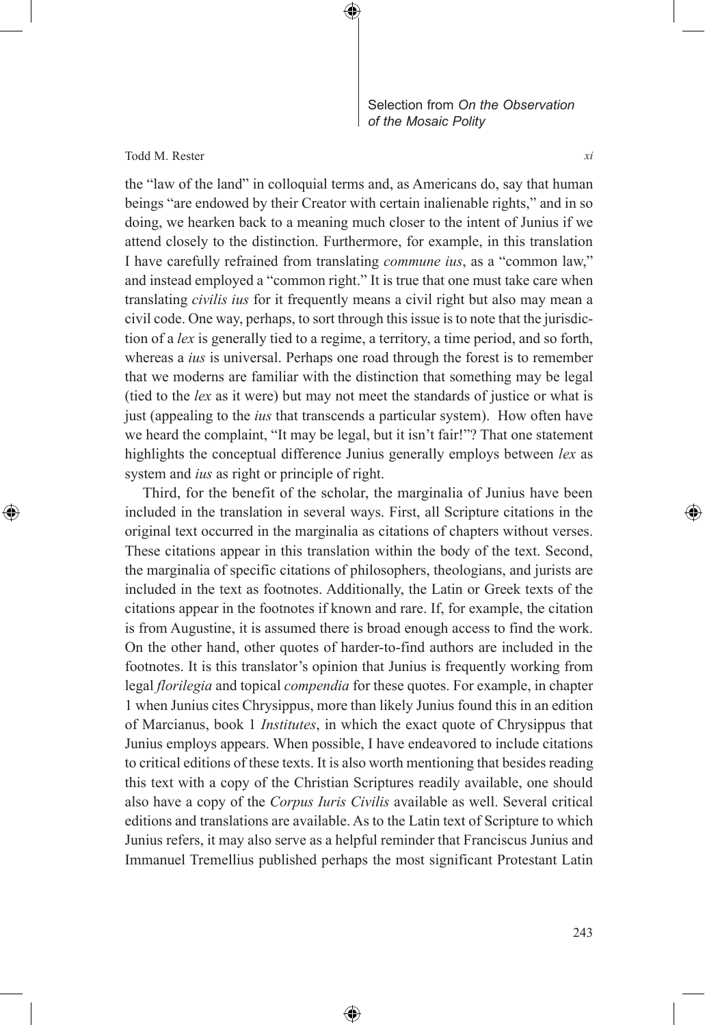

Todd M. Rester

⊕

the "law of the land" in colloquial terms and, as Americans do, say that human beings "are endowed by their Creator with certain inalienable rights," and in so doing, we hearken back to a meaning much closer to the intent of Junius if we attend closely to the distinction. Furthermore, for example, in this translation I have carefully refrained from translating *commune ius*, as a "common law," and instead employed a "common right." It is true that one must take care when translating *civilis ius* for it frequently means a civil right but also may mean a civil code. One way, perhaps, to sort through this issue is to note that the jurisdiction of a *lex* is generally tied to a regime, a territory, a time period, and so forth, whereas a *ius* is universal. Perhaps one road through the forest is to remember that we moderns are familiar with the distinction that something may be legal (tied to the *lex* as it were) but may not meet the standards of justice or what is just (appealing to the *ius* that transcends a particular system). How often have we heard the complaint, "It may be legal, but it isn't fair!"? That one statement highlights the conceptual difference Junius generally employs between *lex* as system and *ius* as right or principle of right.

⊕

Third, for the benefit of the scholar, the marginalia of Junius have been included in the translation in several ways. First, all Scripture citations in the original text occurred in the marginalia as citations of chapters without verses. These citations appear in this translation within the body of the text. Second, the marginalia of specific citations of philosophers, theologians, and jurists are included in the text as footnotes. Additionally, the Latin or Greek texts of the citations appear in the footnotes if known and rare. If, for example, the citation is from Augustine, it is assumed there is broad enough access to find the work. On the other hand, other quotes of harder-to-find authors are included in the footnotes. It is this translator's opinion that Junius is frequently working from legal *florilegia* and topical *compendia* for these quotes. For example, in chapter 1 when Junius cites Chrysippus, more than likely Junius found this in an edition of Marcianus, book 1 *Institutes*, in which the exact quote of Chrysippus that Junius employs appears. When possible, I have endeavored to include citations to critical editions of these texts. It is also worth mentioning that besides reading this text with a copy of the Christian Scriptures readily available, one should also have a copy of the *Corpus Iuris Civilis* available as well. Several critical editions and translations are available. As to the Latin text of Scripture to which Junius refers, it may also serve as a helpful reminder that Franciscus Junius and Immanuel Tremellius published perhaps the most significant Protestant Latin

⊕

*xi*